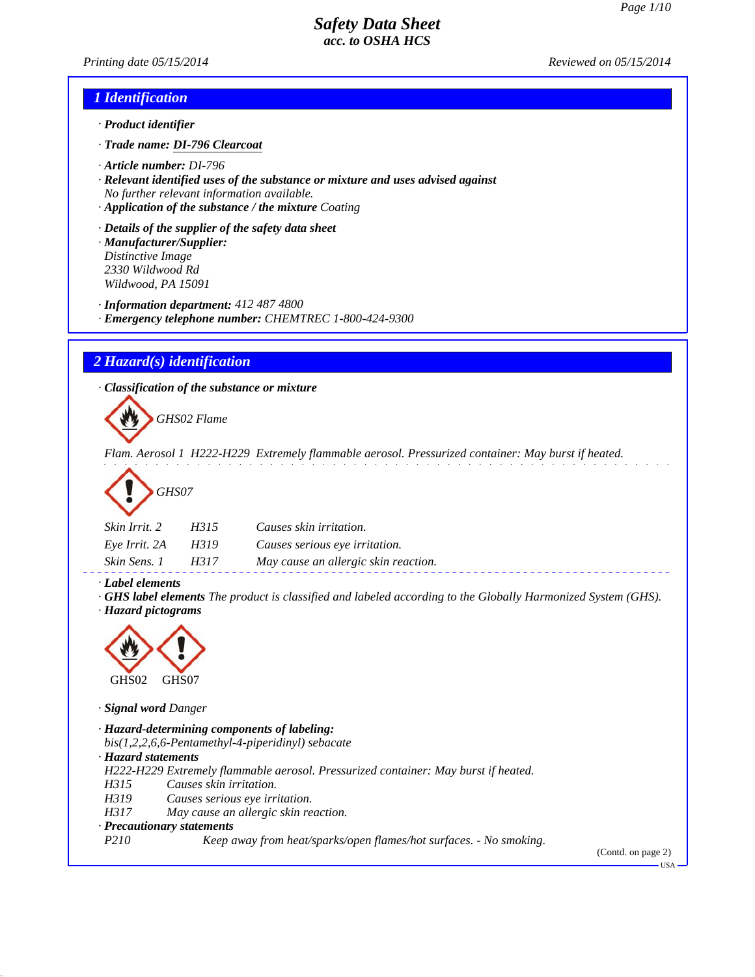*Printing date 05/15/2014 Reviewed on 05/15/2014*

#### *1 Identification*

- *· Product identifier*
- *· Trade name: DI-796 Clearcoat*
- *· Article number: DI-796*
- *· Relevant identified uses of the substance or mixture and uses advised against No further relevant information available.*
- *· Application of the substance / the mixture Coating*

*· Details of the supplier of the safety data sheet · Manufacturer/Supplier:*

*Distinctive Image 2330 Wildwood Rd Wildwood, PA 15091*

*· Information department: 412 487 4800*

*· Emergency telephone number: CHEMTREC 1-800-424-9300*

#### *2 Hazard(s) identification*

*· Classification of the substance or mixture*

*GHS02 Flame*

*Flam. Aerosol 1 H222-H229 Extremely flammable aerosol. Pressurized container: May burst if heated.*



| <i>Skin Irrit.</i> 2 | H315 | Causes skin irritation.              |
|----------------------|------|--------------------------------------|
| Eye Irrit. 2A        | H319 | Causes serious eye irritation.       |
| Skin Sens. 1         | H317 | May cause an allergic skin reaction. |

*· Label elements*

*· GHS label elements The product is classified and labeled according to the Globally Harmonized System (GHS). · Hazard pictograms*



*· Signal word Danger*

*· Hazard-determining components of labeling: bis(1,2,2,6,6-Pentamethyl-4-piperidinyl) sebacate · Hazard statements H222-H229 Extremely flammable aerosol. Pressurized container: May burst if heated. H315 Causes skin irritation. H319 Causes serious eye irritation. H317 May cause an allergic skin reaction. · Precautionary statements*

*P210 Keep away from heat/sparks/open flames/hot surfaces. - No smoking.*

(Contd. on page 2)

 $-<sup>T</sup>$ ISA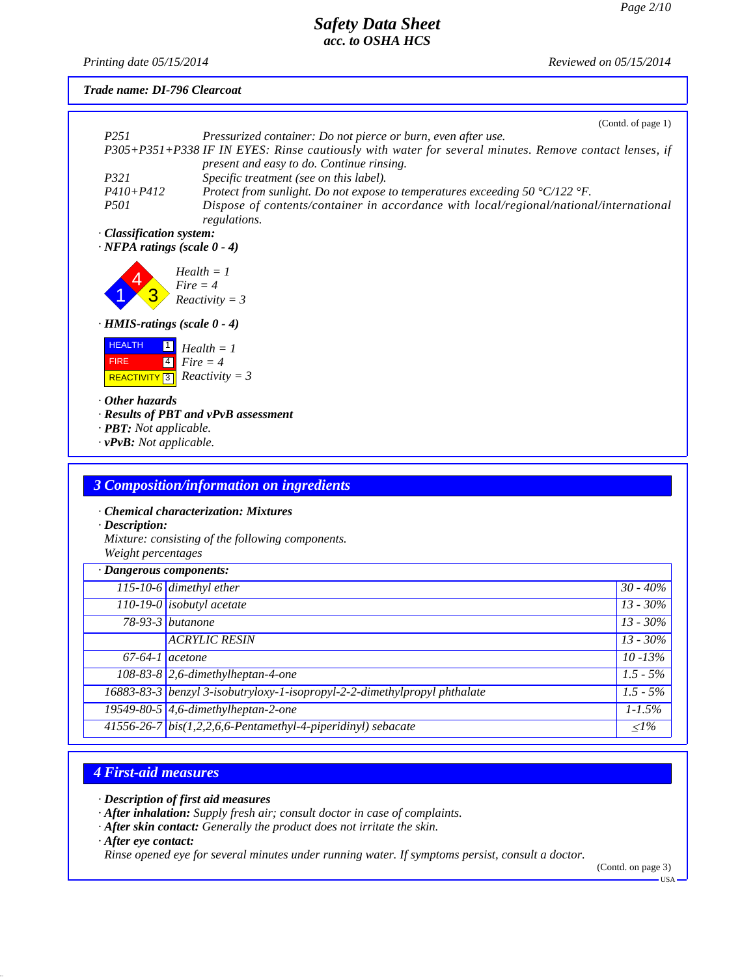*Printing date 05/15/2014 Reviewed on 05/15/2014*

*Trade name: DI-796 Clearcoat*

| P251<br>Pressurized container: Do not pierce or burn, even after use.<br>P305+P351+P338 IF IN EYES: Rinse cautiously with water for several minutes. Remove contact lenses, if<br>present and easy to do. Continue rinsing.<br>P321<br>Specific treatment (see on this label).<br>Protect from sunlight. Do not expose to temperatures exceeding 50 °C/122 °F.<br>$P410 + P412$<br><i>P501</i><br>Dispose of contents/container in accordance with local/regional/national/international<br>regulations.<br>· Classification system:<br>$\cdot$ NFPA ratings (scale 0 - 4)<br>$Health = 1$<br>$Fire = 4$<br>$Reactivity = 3$<br>· HMIS-ratings (scale 0 - 4)<br><b>HEALTH</b><br>$\vert$ 1 $\vert$<br>$Health = 1$<br><b>FIRE</b><br>4<br>$Fire = 4$<br>REACTIVITY 3 Reactivity = $3$<br>$\cdot$ Other hazards<br>· Results of PBT and vPvB assessment<br>· PBT: Not applicable.<br>$\cdot$ vPvB: Not applicable. |
|-------------------------------------------------------------------------------------------------------------------------------------------------------------------------------------------------------------------------------------------------------------------------------------------------------------------------------------------------------------------------------------------------------------------------------------------------------------------------------------------------------------------------------------------------------------------------------------------------------------------------------------------------------------------------------------------------------------------------------------------------------------------------------------------------------------------------------------------------------------------------------------------------------------------|
|                                                                                                                                                                                                                                                                                                                                                                                                                                                                                                                                                                                                                                                                                                                                                                                                                                                                                                                   |
|                                                                                                                                                                                                                                                                                                                                                                                                                                                                                                                                                                                                                                                                                                                                                                                                                                                                                                                   |
|                                                                                                                                                                                                                                                                                                                                                                                                                                                                                                                                                                                                                                                                                                                                                                                                                                                                                                                   |
|                                                                                                                                                                                                                                                                                                                                                                                                                                                                                                                                                                                                                                                                                                                                                                                                                                                                                                                   |
|                                                                                                                                                                                                                                                                                                                                                                                                                                                                                                                                                                                                                                                                                                                                                                                                                                                                                                                   |
|                                                                                                                                                                                                                                                                                                                                                                                                                                                                                                                                                                                                                                                                                                                                                                                                                                                                                                                   |
|                                                                                                                                                                                                                                                                                                                                                                                                                                                                                                                                                                                                                                                                                                                                                                                                                                                                                                                   |
|                                                                                                                                                                                                                                                                                                                                                                                                                                                                                                                                                                                                                                                                                                                                                                                                                                                                                                                   |
|                                                                                                                                                                                                                                                                                                                                                                                                                                                                                                                                                                                                                                                                                                                                                                                                                                                                                                                   |
|                                                                                                                                                                                                                                                                                                                                                                                                                                                                                                                                                                                                                                                                                                                                                                                                                                                                                                                   |
|                                                                                                                                                                                                                                                                                                                                                                                                                                                                                                                                                                                                                                                                                                                                                                                                                                                                                                                   |
|                                                                                                                                                                                                                                                                                                                                                                                                                                                                                                                                                                                                                                                                                                                                                                                                                                                                                                                   |
|                                                                                                                                                                                                                                                                                                                                                                                                                                                                                                                                                                                                                                                                                                                                                                                                                                                                                                                   |
|                                                                                                                                                                                                                                                                                                                                                                                                                                                                                                                                                                                                                                                                                                                                                                                                                                                                                                                   |
| <b>3 Composition/information on ingredients</b>                                                                                                                                                                                                                                                                                                                                                                                                                                                                                                                                                                                                                                                                                                                                                                                                                                                                   |
| · Chemical characterization: Mixtures                                                                                                                                                                                                                                                                                                                                                                                                                                                                                                                                                                                                                                                                                                                                                                                                                                                                             |
| $\cdot$ Description:                                                                                                                                                                                                                                                                                                                                                                                                                                                                                                                                                                                                                                                                                                                                                                                                                                                                                              |
| Mixture: consisting of the following components.<br>Weight percentages                                                                                                                                                                                                                                                                                                                                                                                                                                                                                                                                                                                                                                                                                                                                                                                                                                            |
|                                                                                                                                                                                                                                                                                                                                                                                                                                                                                                                                                                                                                                                                                                                                                                                                                                                                                                                   |
|                                                                                                                                                                                                                                                                                                                                                                                                                                                                                                                                                                                                                                                                                                                                                                                                                                                                                                                   |
| · Dangerous components:                                                                                                                                                                                                                                                                                                                                                                                                                                                                                                                                                                                                                                                                                                                                                                                                                                                                                           |
| $115 - 10 - 6$ dimethyl ether<br>$30 - 40%$                                                                                                                                                                                                                                                                                                                                                                                                                                                                                                                                                                                                                                                                                                                                                                                                                                                                       |
| $110-19-0$ isobutyl acetate<br>$13 - 30\%$                                                                                                                                                                                                                                                                                                                                                                                                                                                                                                                                                                                                                                                                                                                                                                                                                                                                        |
| 78-93-3 <i>butanone</i><br>$13 - 30\%$                                                                                                                                                                                                                                                                                                                                                                                                                                                                                                                                                                                                                                                                                                                                                                                                                                                                            |
| <b>ACRYLIC RESIN</b><br>13 - 30%                                                                                                                                                                                                                                                                                                                                                                                                                                                                                                                                                                                                                                                                                                                                                                                                                                                                                  |
| $67-64-1$ acetone<br>$10 - 13%$                                                                                                                                                                                                                                                                                                                                                                                                                                                                                                                                                                                                                                                                                                                                                                                                                                                                                   |
| $1.5 - 5\%$<br>$108-83-8$ 2,6-dimethylheptan-4-one                                                                                                                                                                                                                                                                                                                                                                                                                                                                                                                                                                                                                                                                                                                                                                                                                                                                |
| 16883-83-3 benzyl 3-isobutryloxy-1-isopropyl-2-2-dimethylpropyl phthalate<br>$1.5 - 5\%$                                                                                                                                                                                                                                                                                                                                                                                                                                                                                                                                                                                                                                                                                                                                                                                                                          |
| 19549-80-5 $\vert$ 4,6-dimethylheptan-2-one<br>$1 - 1.5\%$<br>$41556-26-7$ bis(1,2,2,6,6-Pentamethyl-4-piperidinyl) sebacate                                                                                                                                                                                                                                                                                                                                                                                                                                                                                                                                                                                                                                                                                                                                                                                      |

*· Description of first aid measures*

*· After inhalation: Supply fresh air; consult doctor in case of complaints.*

*· After skin contact: Generally the product does not irritate the skin.*

*· After eye contact:*

*Rinse opened eye for several minutes under running water. If symptoms persist, consult a doctor.*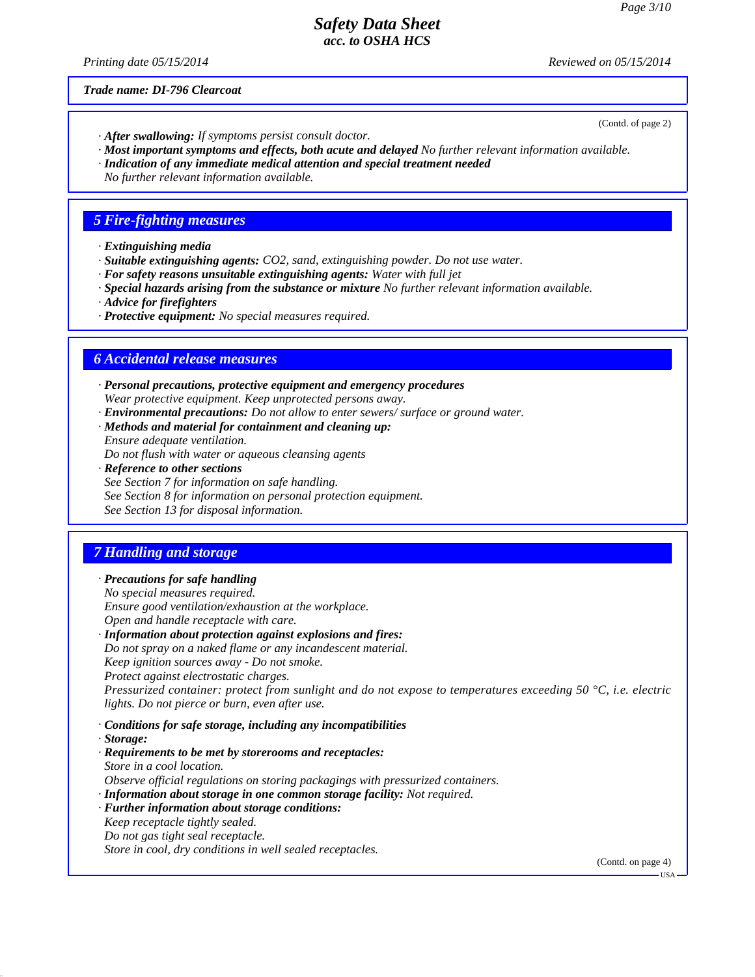(Contd. of page 2)

#### *Safety Data Sheet acc. to OSHA HCS*

*Printing date 05/15/2014 Reviewed on 05/15/2014*

*Trade name: DI-796 Clearcoat*

- *· After swallowing: If symptoms persist consult doctor.*
- *· Most important symptoms and effects, both acute and delayed No further relevant information available.*
- *· Indication of any immediate medical attention and special treatment needed*
- *No further relevant information available.*

#### *5 Fire-fighting measures*

- *· Extinguishing media*
- *· Suitable extinguishing agents: CO2, sand, extinguishing powder. Do not use water.*
- *· For safety reasons unsuitable extinguishing agents: Water with full jet*
- *· Special hazards arising from the substance or mixture No further relevant information available.*
- *· Advice for firefighters*
- *· Protective equipment: No special measures required.*

#### *6 Accidental release measures*

- *· Personal precautions, protective equipment and emergency procedures Wear protective equipment. Keep unprotected persons away.*
- *· Environmental precautions: Do not allow to enter sewers/ surface or ground water.*
- *· Methods and material for containment and cleaning up: Ensure adequate ventilation.*

*Do not flush with water or aqueous cleansing agents*

*· Reference to other sections See Section 7 for information on safe handling. See Section 8 for information on personal protection equipment. See Section 13 for disposal information.*

## *7 Handling and storage*

- *· Precautions for safe handling*
- *No special measures required.*

*Ensure good ventilation/exhaustion at the workplace. Open and handle receptacle with care.*

- *· Information about protection against explosions and fires: Do not spray on a naked flame or any incandescent material. Keep ignition sources away - Do not smoke. Protect against electrostatic charges. Pressurized container: protect from sunlight and do not expose to temperatures exceeding 50 °C, i.e. electric lights. Do not pierce or burn, even after use. · Conditions for safe storage, including any incompatibilities*
- *· Storage:*
- *· Requirements to be met by storerooms and receptacles: Store in a cool location. Observe official regulations on storing packagings with pressurized containers. · Information about storage in one common storage facility: Not required.*
- *· Further information about storage conditions:*
- *Keep receptacle tightly sealed.*
- *Do not gas tight seal receptacle.*

*Store in cool, dry conditions in well sealed receptacles.*

(Contd. on page 4)

 $-11S_A$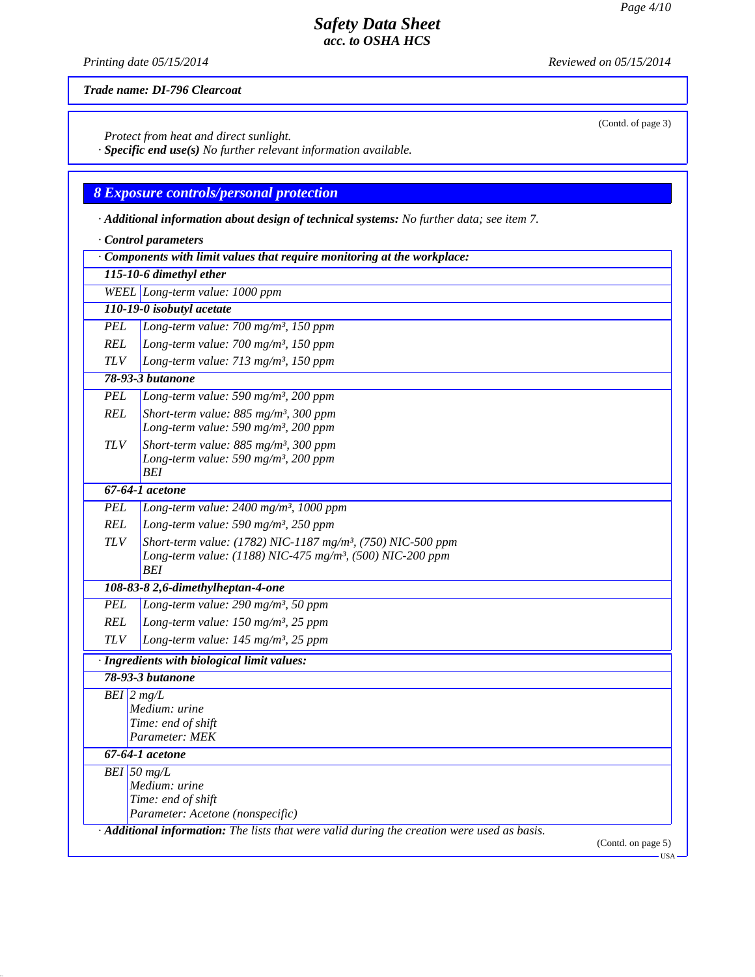*Printing date 05/15/2014 Reviewed on 05/15/2014*

*Trade name: DI-796 Clearcoat*

*Protect from heat and direct sunlight.*

*· Specific end use(s) No further relevant information available.*

# *8 Exposure controls/personal protection*

*· Additional information about design of technical systems: No further data; see item 7.*

|            | Control parameters                                                                          |                    |
|------------|---------------------------------------------------------------------------------------------|--------------------|
|            | Components with limit values that require monitoring at the workplace:                      |                    |
|            | 115-10-6 dimethyl ether                                                                     |                    |
|            | WEEL Long-term value: 1000 ppm                                                              |                    |
|            | 110-19-0 isobutyl acetate                                                                   |                    |
| <b>PEL</b> | Long-term value: 700 mg/m <sup>3</sup> , 150 ppm                                            |                    |
| <b>REL</b> | Long-term value: 700 mg/m <sup>3</sup> , 150 ppm                                            |                    |
| <b>TLV</b> | Long-term value: $713$ mg/m <sup>3</sup> , 150 ppm                                          |                    |
|            | 78-93-3 <i>butanone</i>                                                                     |                    |
| PEL        | Long-term value: 590 mg/m <sup>3</sup> , 200 ppm                                            |                    |
| REL        | Short-term value: $885$ mg/m <sup>3</sup> , 300 ppm                                         |                    |
|            | Long-term value: 590 mg/m <sup>3</sup> , 200 ppm                                            |                    |
| TLV        | Short-term value: 885 mg/m <sup>3</sup> , 300 ppm                                           |                    |
|            | Long-term value: 590 mg/m <sup>3</sup> , 200 ppm                                            |                    |
|            | <b>BEI</b>                                                                                  |                    |
|            | $67-64-1$ acetone                                                                           |                    |
| PEL        | Long-term value: $2400$ mg/m <sup>3</sup> , 1000 ppm                                        |                    |
| <b>REL</b> | Long-term value: 590 mg/m <sup>3</sup> , 250 ppm                                            |                    |
| <b>TLV</b> | Short-term value: (1782) NIC-1187 mg/m <sup>3</sup> , (750) NIC-500 ppm                     |                    |
|            | Long-term value: (1188) NIC-475 mg/m <sup>3</sup> , (500) NIC-200 ppm<br><b>BEI</b>         |                    |
|            | 108-83-8 2,6-dimethylheptan-4-one                                                           |                    |
| PEL        | Long-term value: 290 mg/m <sup>3</sup> , 50 ppm                                             |                    |
| <b>REL</b> | Long-term value: $150$ mg/m <sup>3</sup> , 25 ppm                                           |                    |
| <b>TLV</b> | Long-term value: 145 mg/m <sup>3</sup> , 25 ppm                                             |                    |
|            | · Ingredients with biological limit values:                                                 |                    |
|            | <b>78-93-3 butanone</b>                                                                     |                    |
|            | $BEI$ 2 mg/L                                                                                |                    |
|            | Medium: urine                                                                               |                    |
|            | Time: end of shift                                                                          |                    |
|            | Parameter: MEK                                                                              |                    |
|            | $67-64-1$ acetone                                                                           |                    |
|            | BEI 50 $mg/L$                                                                               |                    |
|            | Medium: urine                                                                               |                    |
|            | Time: end of shift<br>Parameter: Acetone (nonspecific)                                      |                    |
|            |                                                                                             |                    |
|            | · Additional information: The lists that were valid during the creation were used as basis. | (Contd. on page 5) |
|            |                                                                                             |                    |

(Contd. of page 3)

USA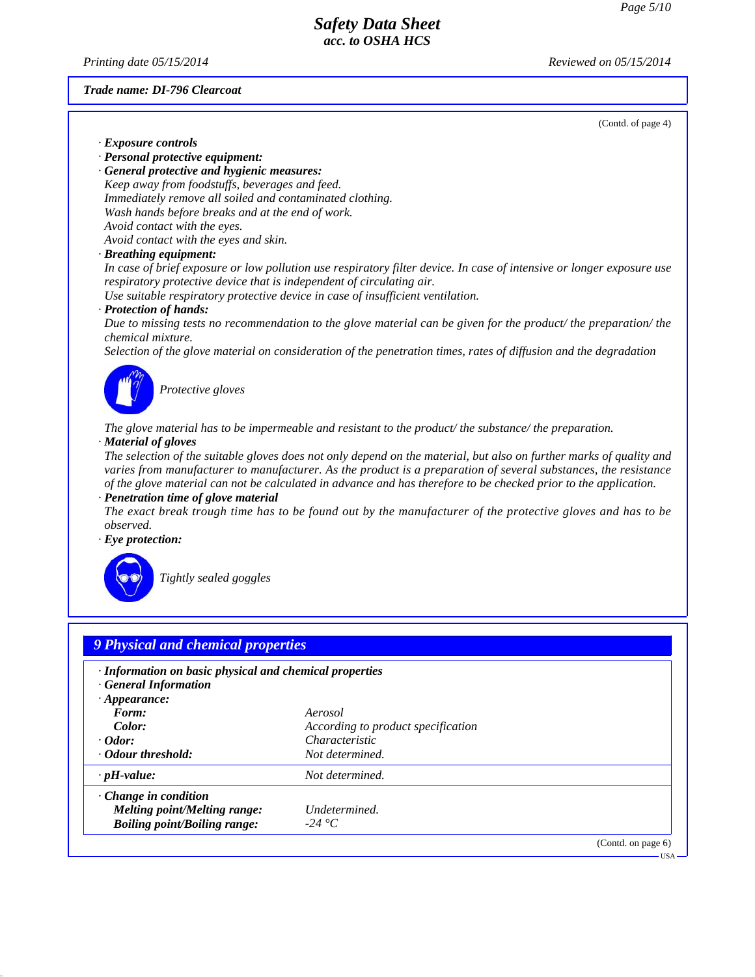*Printing date 05/15/2014 Reviewed on 05/15/2014*

#### *Trade name: DI-796 Clearcoat*

(Contd. of page 4)

*· Exposure controls · Personal protective equipment: · General protective and hygienic measures: Keep away from foodstuffs, beverages and feed. Immediately remove all soiled and contaminated clothing. Wash hands before breaks and at the end of work. Avoid contact with the eyes. Avoid contact with the eyes and skin. · Breathing equipment: In case of brief exposure or low pollution use respiratory filter device. In case of intensive or longer exposure use respiratory protective device that is independent of circulating air. Use suitable respiratory protective device in case of insufficient ventilation. · Protection of hands: Due to missing tests no recommendation to the glove material can be given for the product/ the preparation/ the chemical mixture. Selection of the glove material on consideration of the penetration times, rates of diffusion and the degradation Protective gloves The glove material has to be impermeable and resistant to the product/ the substance/ the preparation. · Material of gloves*

*The selection of the suitable gloves does not only depend on the material, but also on further marks of quality and varies from manufacturer to manufacturer. As the product is a preparation of several substances, the resistance of the glove material can not be calculated in advance and has therefore to be checked prior to the application.*

*· Penetration time of glove material*

*The exact break trough time has to be found out by the manufacturer of the protective gloves and has to be observed.*

*· Eye protection:*



*Tightly sealed goggles*

| $\cdot$ Information on basic physical and chemical properties<br><b>General Information</b> |                                    |  |
|---------------------------------------------------------------------------------------------|------------------------------------|--|
| $\cdot$ Appearance:<br>Form:                                                                | Aerosol                            |  |
| Color:                                                                                      | According to product specification |  |
| $\cdot$ Odor:                                                                               | Characteristic                     |  |
| • Odour threshold:                                                                          | Not determined.                    |  |
| $\cdot$ pH-value:                                                                           | Not determined.                    |  |
| $\cdot$ Change in condition                                                                 |                                    |  |
| Melting point/Melting range:                                                                | Undetermined.                      |  |
| <b>Boiling point/Boiling range:</b>                                                         | $-24\text{ °C}$                    |  |

USA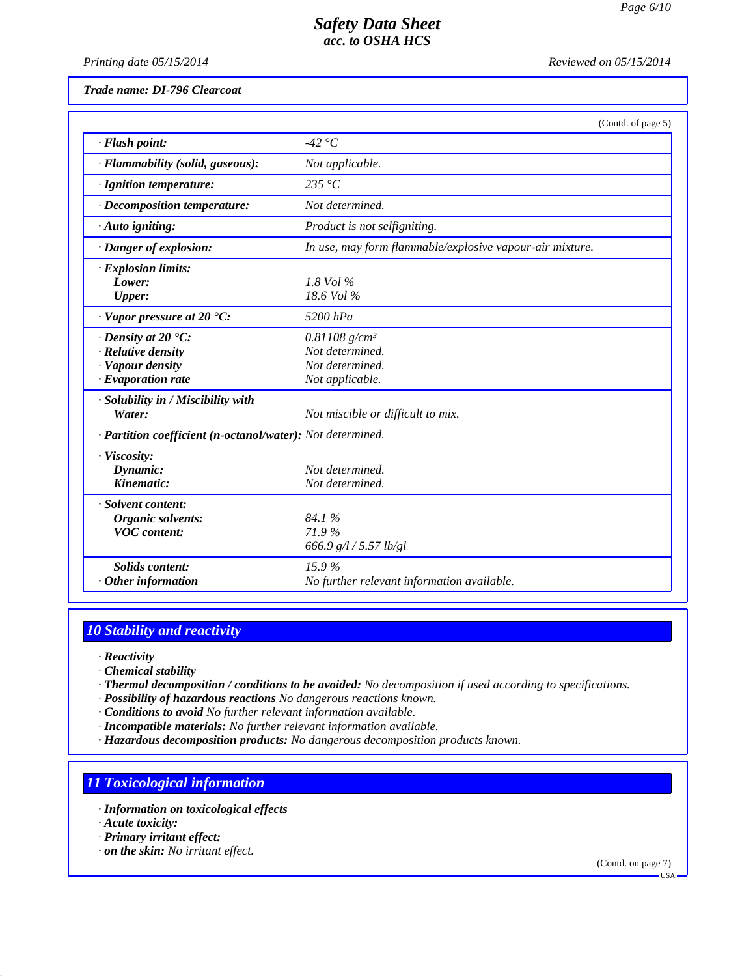*Printing date 05/15/2014 Reviewed on 05/15/2014*

*Trade name: DI-796 Clearcoat*

|                                                          | (Contd. of page 5)                                       |
|----------------------------------------------------------|----------------------------------------------------------|
| <b>Flash point:</b>                                      | -42 $\degree$ C                                          |
| <b>Flammability (solid, gaseous):</b>                    | Not applicable.                                          |
| <b>Ignition temperature:</b>                             | 235 °C                                                   |
| Decomposition temperature:                               | Not determined.                                          |
| Auto igniting:                                           | Product is not selfigniting.                             |
| Danger of explosion:                                     | In use, may form flammable/explosive vapour-air mixture. |
| <b>Explosion limits:</b>                                 |                                                          |
| Lower:                                                   | 1.8 Vol %                                                |
| <b>Upper:</b>                                            | $18.6$ Vol $\%$                                          |
| Vapor pressure at $20 °C$ :                              | 5200 hPa                                                 |
| Density at 20 $\textdegree$ C:                           | $0.81108$ g/cm <sup>3</sup>                              |
| <b>Relative density</b>                                  | Not determined.                                          |
| Vapour density                                           | Not determined.                                          |
| <b>Evaporation rate</b>                                  | Not applicable.                                          |
| Solubility in / Miscibility with                         |                                                          |
| Water:                                                   | Not miscible or difficult to mix.                        |
| Partition coefficient (n-octanol/water): Not determined. |                                                          |
| Viscosity:                                               |                                                          |
| Dynamic:                                                 | Not determined.                                          |
| Kinematic:                                               | Not determined.                                          |
| Solvent content:                                         |                                                          |
| Organic solvents:                                        | 84.1%                                                    |
| <b>VOC</b> content:                                      | 71.9%                                                    |
|                                                          | 666.9 g/l / 5.57 lb/gl                                   |
| <b>Solids content:</b>                                   | 15.9%                                                    |
| Other information                                        | No further relevant information available.               |
|                                                          |                                                          |

## *10 Stability and reactivity*

- *· Reactivity*
- *· Chemical stability*
- *· Thermal decomposition / conditions to be avoided: No decomposition if used according to specifications.*
- *· Possibility of hazardous reactions No dangerous reactions known.*
- *· Conditions to avoid No further relevant information available.*
- *· Incompatible materials: No further relevant information available.*
- *· Hazardous decomposition products: No dangerous decomposition products known.*

## *11 Toxicological information*

- *· Information on toxicological effects*
- *· Acute toxicity:*
- *· Primary irritant effect:*
- *· on the skin: No irritant effect.*

(Contd. on page 7)

USA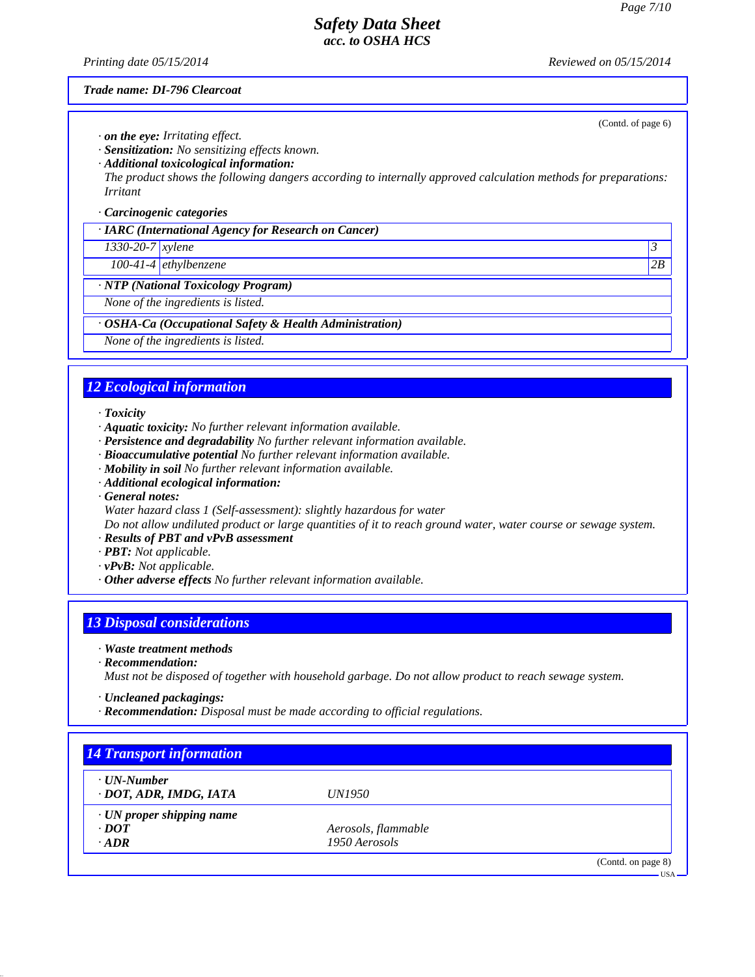*Printing date 05/15/2014 Reviewed on 05/15/2014*

#### *Trade name: DI-796 Clearcoat*

*· on the eye: Irritating effect.*

*· Sensitization: No sensitizing effects known.*

*· Additional toxicological information:*

*The product shows the following dangers according to internally approved calculation methods for preparations: Irritant*

#### *· Carcinogenic categories*

*· IARC (International Agency for Research on Cancer)*

*1330-20-7 xylene 3* 

*100-41-4 ethylbenzene 2B*

#### *· NTP (National Toxicology Program)*

*None of the ingredients is listed.*

#### *· OSHA-Ca (Occupational Safety & Health Administration)*

*None of the ingredients is listed.*

#### *12 Ecological information*

*· Toxicity*

- *· Aquatic toxicity: No further relevant information available.*
- *· Persistence and degradability No further relevant information available.*
- *· Bioaccumulative potential No further relevant information available.*
- *· Mobility in soil No further relevant information available.*
- *· Additional ecological information:*
- *· General notes:*
- *Water hazard class 1 (Self-assessment): slightly hazardous for water*

*Do not allow undiluted product or large quantities of it to reach ground water, water course or sewage system.*

- *· Results of PBT and vPvB assessment*
- *· PBT: Not applicable.*
- *· vPvB: Not applicable.*
- *· Other adverse effects No further relevant information available.*

#### *13 Disposal considerations*

*· Waste treatment methods*

*· Recommendation:*

*Must not be disposed of together with household garbage. Do not allow product to reach sewage system.*

- *· Uncleaned packagings:*
- *· Recommendation: Disposal must be made according to official regulations.*

| · UN-Number                     |                     |  |
|---------------------------------|---------------------|--|
| · DOT, ADR, IMDG, IATA          | <i>UN1950</i>       |  |
| $\cdot$ UN proper shipping name |                     |  |
| $\cdot$ <i>DOT</i>              | Aerosols, flammable |  |
| $\cdot$ ADR                     | 1950 Aerosols       |  |

(Contd. of page 6)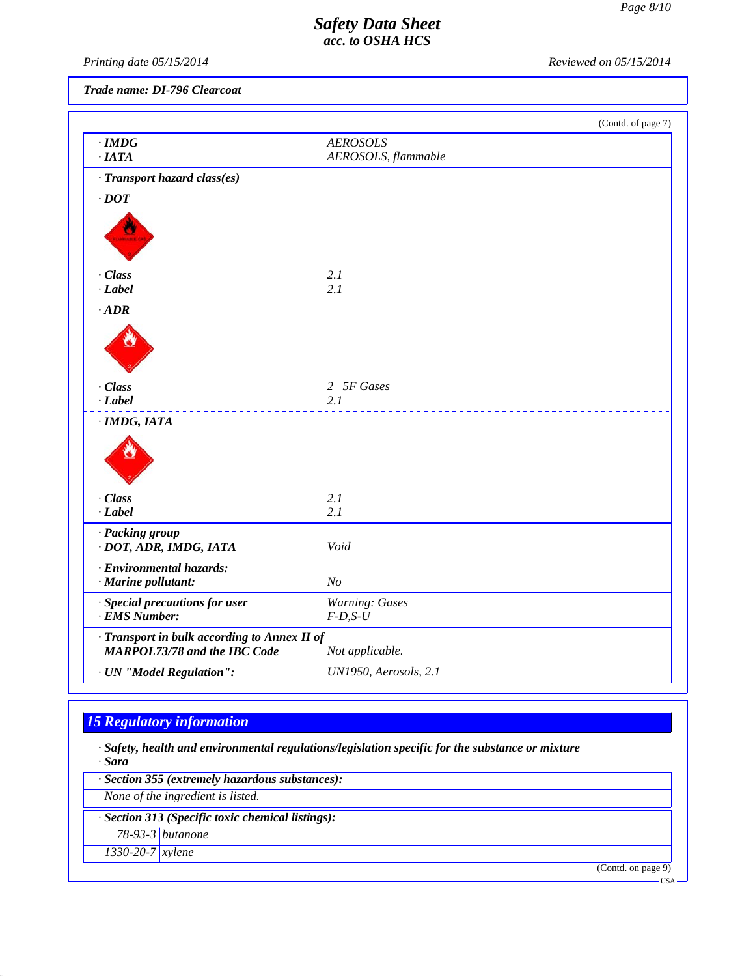*Printing date 05/15/2014 Reviewed on 05/15/2014*

*Trade name: DI-796 Clearcoat*

|                                                                              |                                        | (Contd. of page 7) |
|------------------------------------------------------------------------------|----------------------------------------|--------------------|
| $\cdot$ IMDG<br>·IATA                                                        | <b>AEROSOLS</b><br>AEROSOLS, flammable |                    |
| · Transport hazard class(es)                                                 |                                        |                    |
| $\cdot$ DOT                                                                  |                                        |                    |
|                                                                              |                                        |                    |
| · Class                                                                      | 2.1                                    |                    |
| $-Label$                                                                     | 2.1                                    |                    |
| $\cdot$ ADR                                                                  |                                        |                    |
|                                                                              |                                        |                    |
| · Class                                                                      | 2 5F Gases                             |                    |
| $-Label$                                                                     | 2.1                                    |                    |
| $·$ <i>IMDG, IATA</i>                                                        |                                        |                    |
|                                                                              |                                        |                    |
| $\cdot$ Class                                                                | 2.1                                    |                    |
| $-Label$                                                                     | 2.1                                    |                    |
| · Packing group<br>· DOT, ADR, IMDG, IATA                                    | Void                                   |                    |
| · Environmental hazards:<br>$\cdot$ Marine pollutant:                        | N <sub>O</sub>                         |                    |
| · Special precautions for user<br>· EMS Number:                              | Warning: Gases<br>$F-D, S-U$           |                    |
| · Transport in bulk according to Annex II of<br>MARPOL73/78 and the IBC Code | Not applicable.                        |                    |
| · UN "Model Regulation":                                                     | UN1950, Aerosols, 2.1                  |                    |
|                                                                              |                                        |                    |

# *15 Regulatory information*

*· Safety, health and environmental regulations/legislation specific for the substance or mixture · Sara*

|                        | · Section 355 (extremely hazardous substances):   |
|------------------------|---------------------------------------------------|
|                        | None of the ingredient is listed.                 |
|                        | · Section 313 (Specific toxic chemical listings): |
|                        | $78-93-3$ butanone                                |
| $1330 - 20 - 7$ xylene |                                                   |
|                        | (Contd. on page 9)                                |
|                        | $1SA$ .                                           |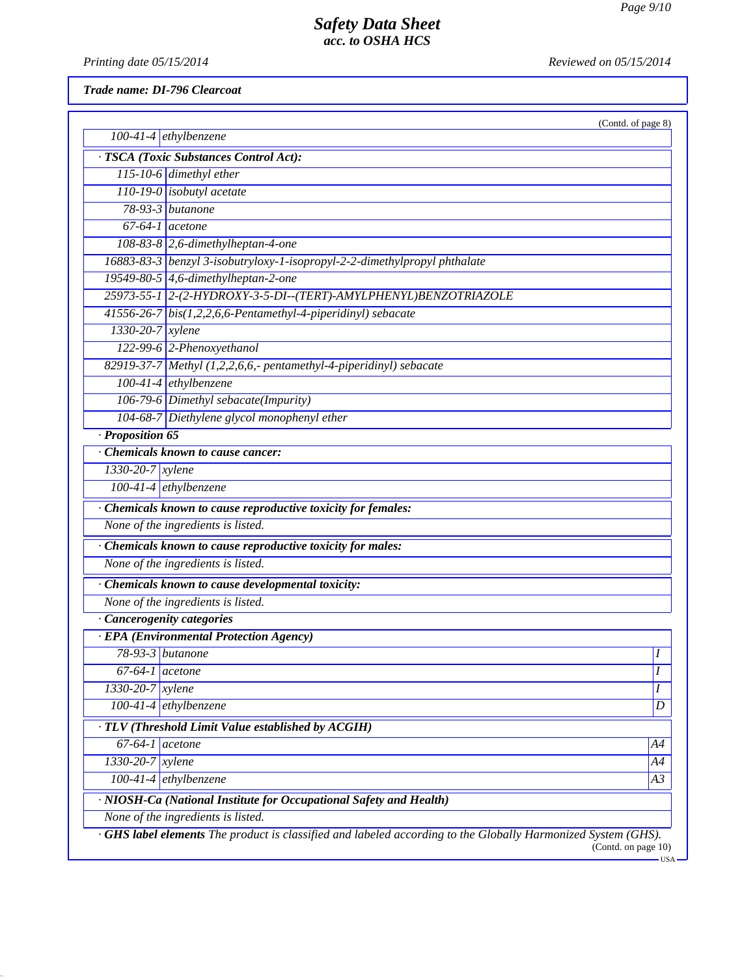*Printing date 05/15/2014 Reviewed on 05/15/2014*

*Trade name: DI-796 Clearcoat*

|                               | $100-41-4$ ethylbenzene                                                                                            | (Contd. of page 8)  |
|-------------------------------|--------------------------------------------------------------------------------------------------------------------|---------------------|
|                               | · TSCA (Toxic Substances Control Act):                                                                             |                     |
|                               | 115-10-6 dimethyl ether                                                                                            |                     |
|                               | 110-19-0 isobutyl acetate                                                                                          |                     |
|                               | 78-93-3 butanone                                                                                                   |                     |
|                               | $67-64-1$ acetone                                                                                                  |                     |
|                               | $108-83-8$ 2,6-dimethylheptan-4-one                                                                                |                     |
|                               | 16883-83-3   benzyl 3-isobutryloxy-1-isopropyl-2-2-dimethylpropyl phthalate                                        |                     |
|                               | 19549-80-5 4,6-dimethylheptan-2-one                                                                                |                     |
|                               | 25973-55-1 2-(2-HYDROXY-3-5-DI--(TERT)-AMYLPHENYL)BENZOTRIAZOLE                                                    |                     |
|                               | $41556-26-7$ bis(1,2,2,6,6-Pentamethyl-4-piperidinyl) sebacate                                                     |                     |
| $1330 - 20 - 7$ <i>xylene</i> |                                                                                                                    |                     |
|                               | 122-99-6 2-Phenoxyethanol                                                                                          |                     |
|                               | 82919-37-7 Methyl (1,2,2,6,6,-pentamethyl-4-piperidinyl) sebacate                                                  |                     |
|                               | 100-41-4 ethylbenzene                                                                                              |                     |
|                               | 106-79-6 Dimethyl sebacate(Impurity)                                                                               |                     |
|                               | 104-68-7 Diethylene glycol monophenyl ether                                                                        |                     |
| · Proposition 65              |                                                                                                                    |                     |
|                               | Chemicals known to cause cancer:                                                                                   |                     |
| 1330-20-7 xylene              |                                                                                                                    |                     |
|                               | $100-41-4$ ethylbenzene                                                                                            |                     |
|                               | · Chemicals known to cause reproductive toxicity for females:                                                      |                     |
|                               | None of the ingredients is listed.                                                                                 |                     |
|                               | · Chemicals known to cause reproductive toxicity for males:                                                        |                     |
|                               | None of the ingredients is listed.                                                                                 |                     |
|                               | · Chemicals known to cause developmental toxicity:                                                                 |                     |
|                               | None of the ingredients is listed.                                                                                 |                     |
|                               | · Cancerogenity categories                                                                                         |                     |
|                               | · EPA (Environmental Protection Agency)                                                                            |                     |
|                               | 78-93-3 butanone                                                                                                   | $\boldsymbol{I}$    |
| 67-64-1                       | acetone                                                                                                            | I                   |
| 1330-20-7 xylene              |                                                                                                                    | I                   |
|                               | $100-41-4$ ethylbenzene                                                                                            | $\boldsymbol{D}$    |
|                               | · TLV (Threshold Limit Value established by ACGIH)                                                                 |                     |
| $67-64-1$ acetone             |                                                                                                                    | A4                  |
| $1330 - 20 - 7$ xylene        |                                                                                                                    | A4                  |
|                               | 100-41-4 ethylbenzene                                                                                              | A3                  |
|                               | · NIOSH-Ca (National Institute for Occupational Safety and Health)                                                 |                     |
|                               | None of the ingredients is listed.                                                                                 |                     |
|                               | <b>GHS label elements</b> The product is classified and labeled according to the Globally Harmonized System (GHS). | (Contd. on page 10) |

USA